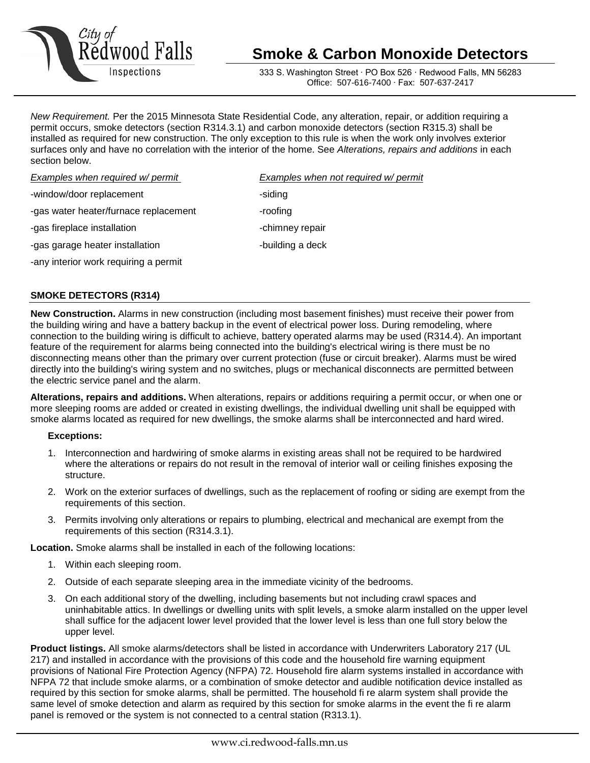

# **Smoke & Carbon Monoxide Detectors**

333 S. Washington Street ∙ PO Box 526 ∙ Redwood Falls, MN 56283 Office: 507-616-7400 ∙ Fax: 507-637-2417

*New Requirement.* Per the 2015 Minnesota State Residential Code, any alteration, repair, or addition requiring a permit occurs, smoke detectors (section R314.3.1) and carbon monoxide detectors (section R315.3) shall be installed as required for new construction. The only exception to this rule is when the work only involves exterior surfaces only and have no correlation with the interior of the home. See *Alterations, repairs and additions* in each section below.

| <b>Examples when required w/ permit</b> | <b>Examples when not required w/ permit</b> |
|-----------------------------------------|---------------------------------------------|
| -window/door replacement                | -siding                                     |
| -gas water heater/furnace replacement   | -roofing                                    |
| -gas fireplace installation             | -chimney repair                             |
| -gas garage heater installation         | -building a deck                            |
| -any interior work requiring a permit   |                                             |

## **SMOKE DETECTORS (R314)**

**New Construction.** Alarms in new construction (including most basement finishes) must receive their power from the building wiring and have a battery backup in the event of electrical power loss. During remodeling, where connection to the building wiring is difficult to achieve, battery operated alarms may be used (R314.4). An important feature of the requirement for alarms being connected into the building's electrical wiring is there must be no disconnecting means other than the primary over current protection (fuse or circuit breaker). Alarms must be wired directly into the building's wiring system and no switches, plugs or mechanical disconnects are permitted between the electric service panel and the alarm.

**Alterations, repairs and additions.** When alterations, repairs or additions requiring a permit occur, or when one or more sleeping rooms are added or created in existing dwellings, the individual dwelling unit shall be equipped with smoke alarms located as required for new dwellings, the smoke alarms shall be interconnected and hard wired.

#### **Exceptions:**

- 1. Interconnection and hardwiring of smoke alarms in existing areas shall not be required to be hardwired where the alterations or repairs do not result in the removal of interior wall or ceiling finishes exposing the structure.
- 2. Work on the exterior surfaces of dwellings, such as the replacement of roofing or siding are exempt from the requirements of this section.
- 3. Permits involving only alterations or repairs to plumbing, electrical and mechanical are exempt from the requirements of this section (R314.3.1).

**Location.** Smoke alarms shall be installed in each of the following locations:

- 1. Within each sleeping room.
- 2. Outside of each separate sleeping area in the immediate vicinity of the bedrooms.
- 3. On each additional story of the dwelling, including basements but not including crawl spaces and uninhabitable attics. In dwellings or dwelling units with split levels, a smoke alarm installed on the upper level shall suffice for the adjacent lower level provided that the lower level is less than one full story below the upper level.

**Product listings.** All smoke alarms/detectors shall be listed in accordance with Underwriters Laboratory 217 (UL 217) and installed in accordance with the provisions of this code and the household fire warning equipment provisions of National Fire Protection Agency (NFPA) 72. Household fire alarm systems installed in accordance with NFPA 72 that include smoke alarms, or a combination of smoke detector and audible notification device installed as required by this section for smoke alarms, shall be permitted. The household fi re alarm system shall provide the same level of smoke detection and alarm as required by this section for smoke alarms in the event the fi re alarm panel is removed or the system is not connected to a central station (R313.1).